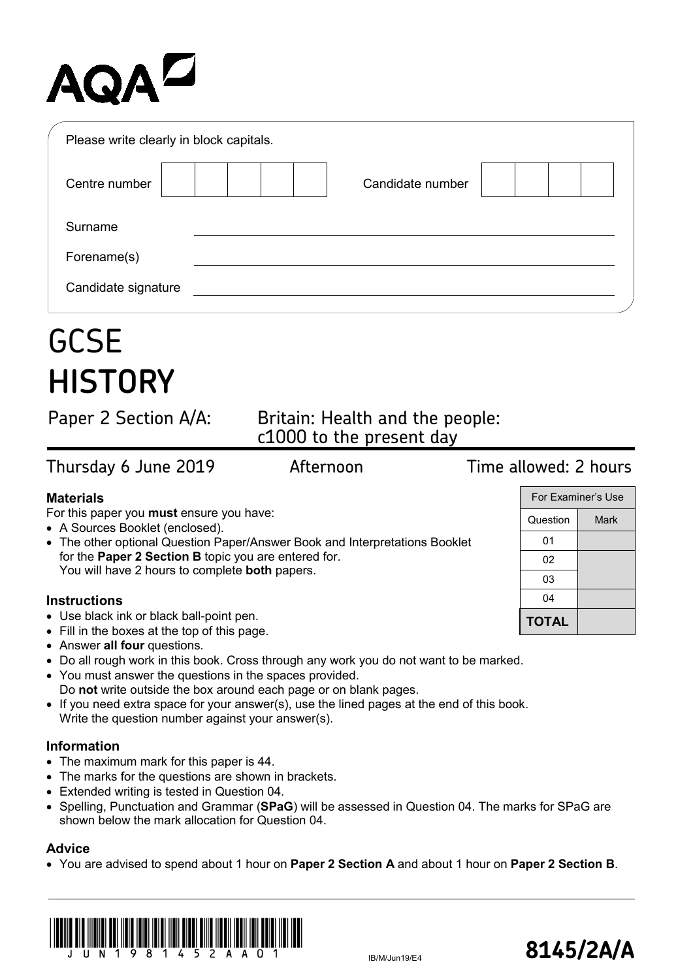# AQA<sup>D</sup>

| Please write clearly in block capitals. |                  |  |
|-----------------------------------------|------------------|--|
| Centre number                           | Candidate number |  |
| Surname                                 |                  |  |
| Forename(s)                             |                  |  |
| Candidate signature                     |                  |  |

## **GCSE HISTORY**

### Paper 2 Section A/A: Britain: Health and the people: c1000 to the present day

Thursday 6 June 2019 **Afternoon** Time allowed: 2 hours

**TOTAL**

For Examiner's Use Question Mark

#### **Materials**

For this paper you **must** ensure you have:

- A Sources Booklet (enclosed).
- The other optional Question Paper/Answer Book and Interpretations Booklet for the **Paper 2 Section B** topic you are entered for. You will have 2 hours to complete **both** papers.

#### **Instructions**

- Use black ink or black ball-point pen.
- Fill in the boxes at the top of this page.
- Answer **all four** questions.
- Do all rough work in this book. Cross through any work you do not want to be marked.
- You must answer the questions in the spaces provided. Do **not** write outside the box around each page or on blank pages.
- If you need extra space for your answer(s), use the lined pages at the end of this book. Write the question number against your answer(s).

#### **Information**

- The maximum mark for this paper is 44.
- The marks for the questions are shown in brackets.
- Extended writing is tested in Question 04.
- Spelling, Punctuation and Grammar (**SPaG**) will be assessed in Question 04. The marks for SPaG are shown below the mark allocation for Question 04.

#### **Advice**

• You are advised to spend about 1 hour on **Paper 2 Section A** and about 1 hour on **Paper 2 Section B**.



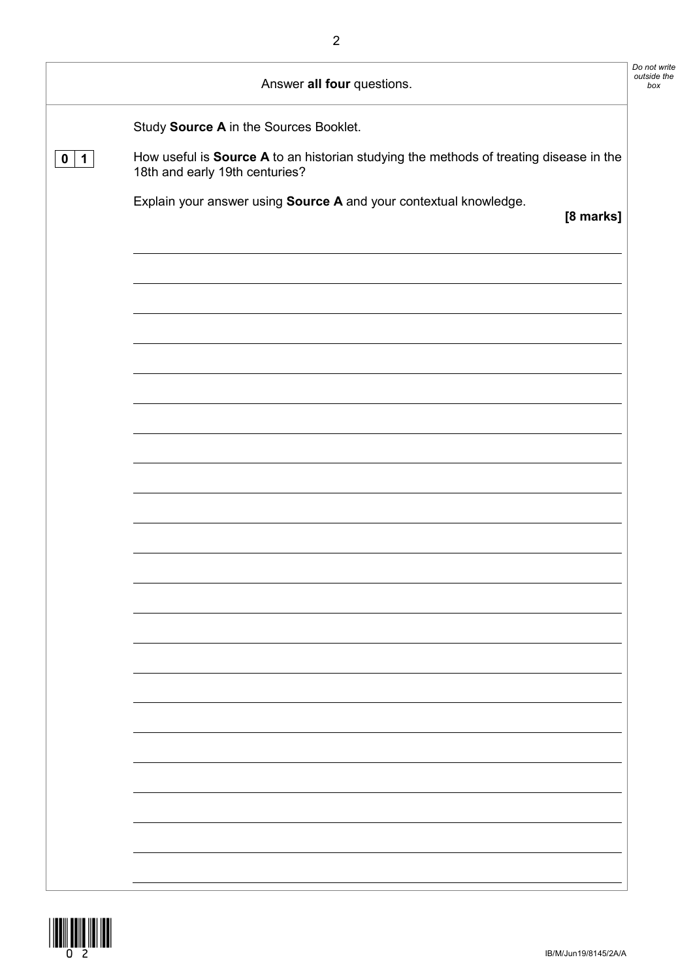|                          | Answer all four questions.                                                                                               | Do not write<br>outside the<br>box |
|--------------------------|--------------------------------------------------------------------------------------------------------------------------|------------------------------------|
|                          | Study Source A in the Sources Booklet.                                                                                   |                                    |
| $\vert$ 1<br>$\mathbf 0$ | How useful is Source A to an historian studying the methods of treating disease in the<br>18th and early 19th centuries? |                                    |
|                          | Explain your answer using Source A and your contextual knowledge.<br>[8 marks]                                           |                                    |
|                          |                                                                                                                          |                                    |
|                          |                                                                                                                          |                                    |
|                          |                                                                                                                          |                                    |
|                          |                                                                                                                          |                                    |
|                          |                                                                                                                          |                                    |
|                          |                                                                                                                          |                                    |
|                          |                                                                                                                          |                                    |
|                          |                                                                                                                          |                                    |
|                          |                                                                                                                          |                                    |
|                          |                                                                                                                          |                                    |
|                          |                                                                                                                          |                                    |
|                          |                                                                                                                          |                                    |
|                          |                                                                                                                          |                                    |
|                          |                                                                                                                          |                                    |

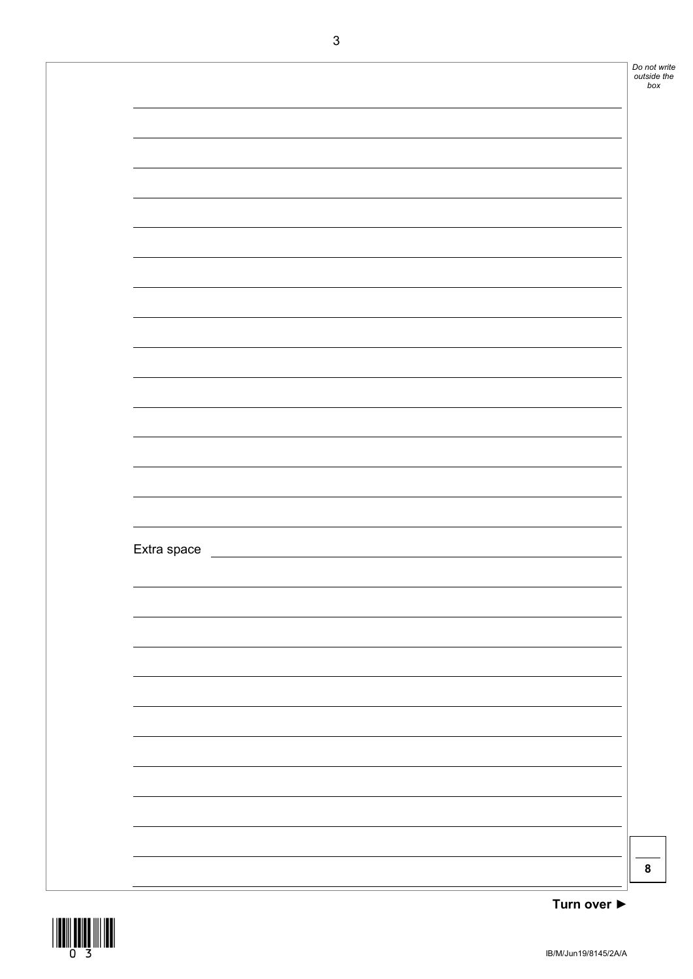|             | Do not write<br>outside the<br>box |
|-------------|------------------------------------|
|             |                                    |
|             |                                    |
|             |                                    |
|             |                                    |
|             |                                    |
|             |                                    |
|             |                                    |
|             |                                    |
|             |                                    |
|             |                                    |
|             |                                    |
|             |                                    |
|             |                                    |
|             |                                    |
|             |                                    |
|             |                                    |
|             |                                    |
|             |                                    |
|             |                                    |
|             |                                    |
|             |                                    |
| Extra space |                                    |
|             |                                    |
|             |                                    |
|             |                                    |
|             |                                    |
|             |                                    |
|             |                                    |
|             |                                    |
|             |                                    |
|             |                                    |
|             |                                    |
|             |                                    |
|             |                                    |
|             |                                    |
|             |                                    |

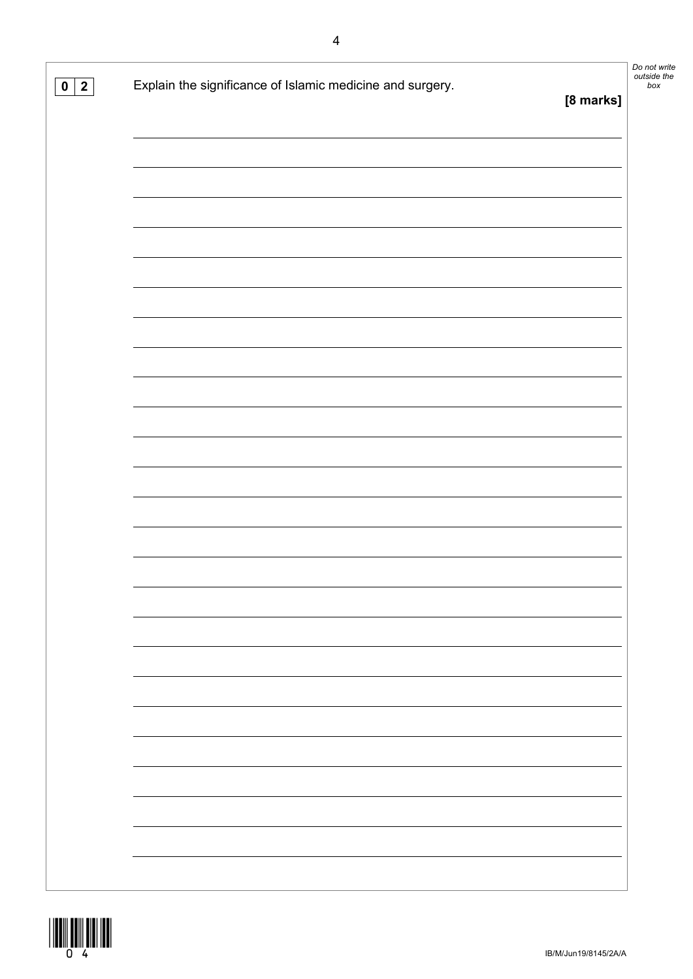| $\overline{\mathbf{2}}$<br>$\mathbf 0$ | Explain the significance of Islamic medicine and surgery.<br>[8 marks] | Do not write<br>outside the<br>box |
|----------------------------------------|------------------------------------------------------------------------|------------------------------------|
|                                        |                                                                        |                                    |
|                                        |                                                                        |                                    |
|                                        |                                                                        |                                    |
|                                        |                                                                        |                                    |
|                                        |                                                                        |                                    |
|                                        |                                                                        |                                    |
|                                        |                                                                        |                                    |
|                                        |                                                                        |                                    |
|                                        |                                                                        |                                    |
|                                        |                                                                        |                                    |
|                                        |                                                                        |                                    |
|                                        |                                                                        |                                    |
|                                        |                                                                        |                                    |

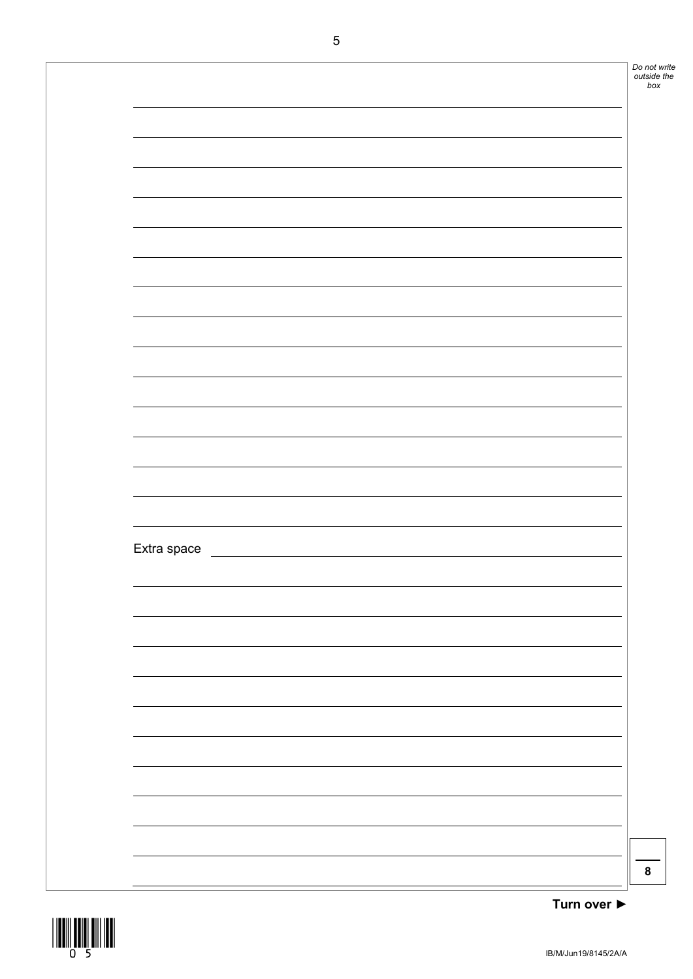| Extra space |  |  |
|-------------|--|--|
|             |  |  |
|             |  |  |
|             |  |  |
|             |  |  |
|             |  |  |
|             |  |  |
|             |  |  |
|             |  |  |
|             |  |  |
|             |  |  |
|             |  |  |

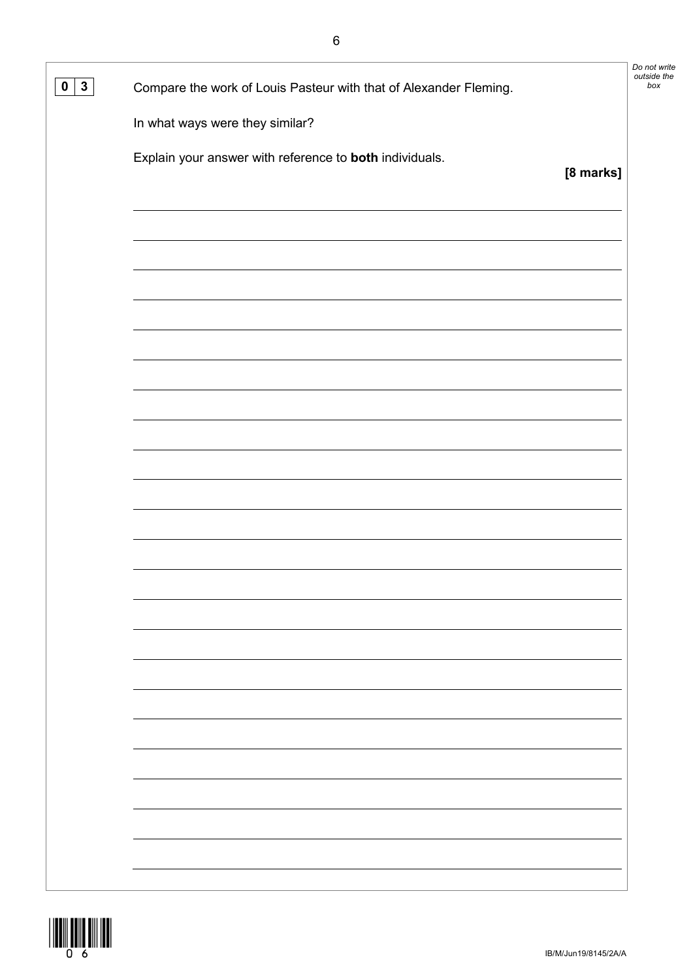| $\mathbf{3}$<br>$\mathbf 0$ | Compare the work of Louis Pasteur with that of Alexander Fleming. |           | Do not write<br>outside the<br>box |
|-----------------------------|-------------------------------------------------------------------|-----------|------------------------------------|
|                             | In what ways were they similar?                                   |           |                                    |
|                             |                                                                   |           |                                    |
|                             | Explain your answer with reference to both individuals.           |           |                                    |
|                             |                                                                   | [8 marks] |                                    |
|                             |                                                                   |           |                                    |
|                             |                                                                   |           |                                    |
|                             |                                                                   |           |                                    |
|                             |                                                                   |           |                                    |
|                             |                                                                   |           |                                    |
|                             |                                                                   |           |                                    |
|                             |                                                                   |           |                                    |
|                             |                                                                   |           |                                    |
|                             |                                                                   |           |                                    |
|                             |                                                                   |           |                                    |
|                             |                                                                   |           |                                    |
|                             |                                                                   |           |                                    |
|                             |                                                                   |           |                                    |
|                             |                                                                   |           |                                    |
|                             |                                                                   |           |                                    |
|                             |                                                                   |           |                                    |
|                             |                                                                   |           |                                    |
|                             |                                                                   |           |                                    |
|                             |                                                                   |           |                                    |
|                             |                                                                   |           |                                    |
|                             |                                                                   |           |                                    |
|                             |                                                                   |           |                                    |
|                             |                                                                   |           |                                    |
|                             |                                                                   |           |                                    |
|                             |                                                                   |           |                                    |
|                             |                                                                   |           |                                    |
|                             |                                                                   |           |                                    |
|                             |                                                                   |           |                                    |

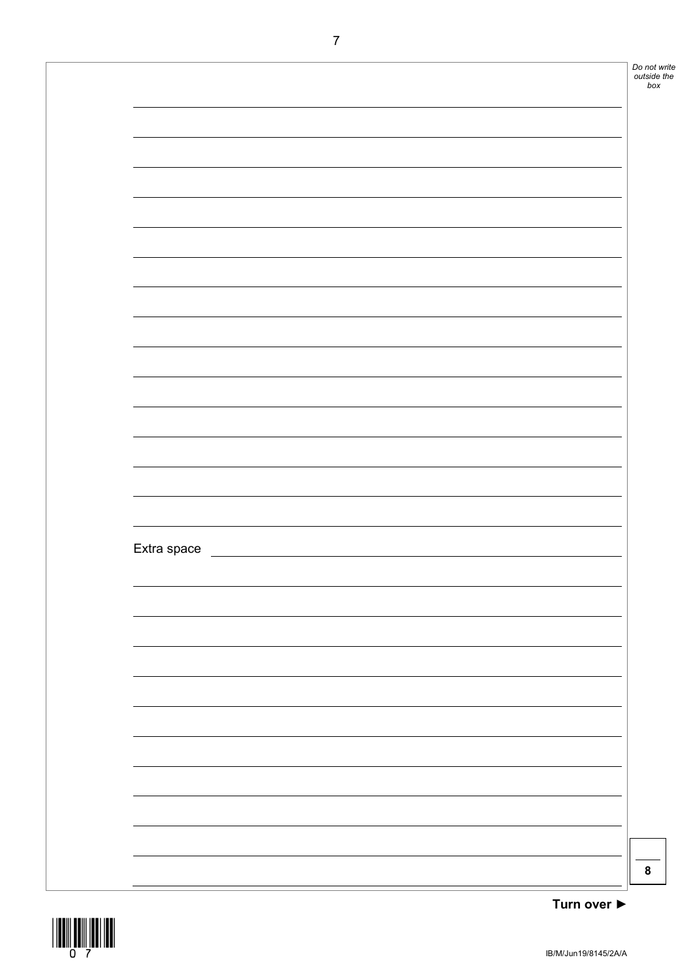| Extra space |  |
|-------------|--|
|             |  |
|             |  |
|             |  |
|             |  |
|             |  |
|             |  |
|             |  |
|             |  |
|             |  |
|             |  |
|             |  |
|             |  |

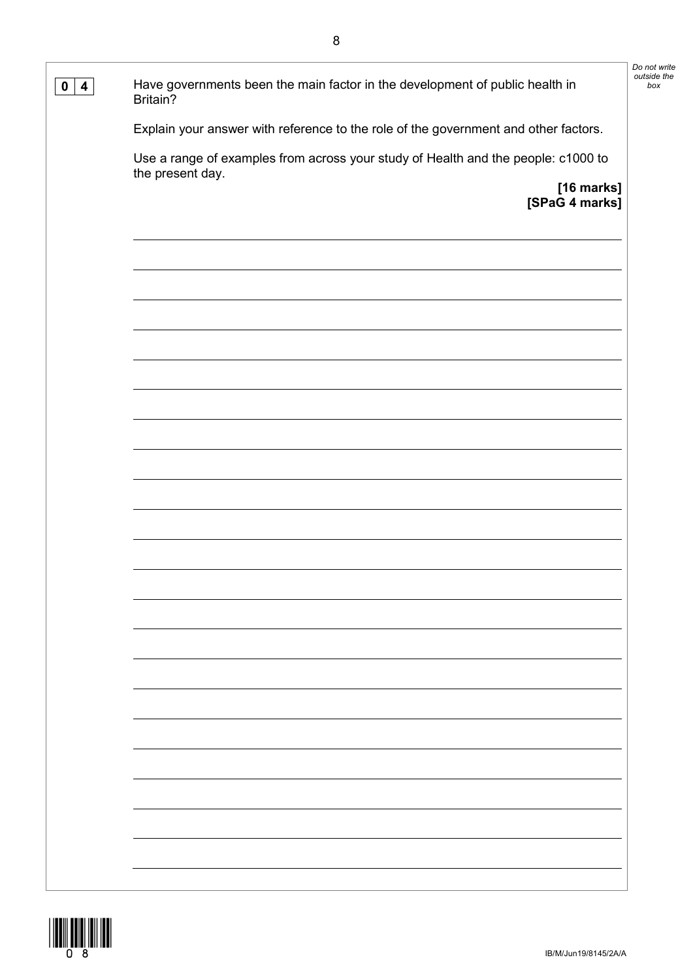| 4<br>0 | Have governments been the main factor in the development of public health in                          | Do not write<br>outside the<br>box |
|--------|-------------------------------------------------------------------------------------------------------|------------------------------------|
|        | Britain?                                                                                              |                                    |
|        | Explain your answer with reference to the role of the government and other factors.                   |                                    |
|        | Use a range of examples from across your study of Health and the people: c1000 to<br>the present day. |                                    |
|        | [16 marks]                                                                                            |                                    |
|        | [SPaG 4 marks]                                                                                        |                                    |
|        |                                                                                                       |                                    |
|        |                                                                                                       |                                    |
|        |                                                                                                       |                                    |
|        |                                                                                                       |                                    |
|        |                                                                                                       |                                    |
|        |                                                                                                       |                                    |
|        |                                                                                                       |                                    |
|        |                                                                                                       |                                    |
|        |                                                                                                       |                                    |
|        |                                                                                                       |                                    |
|        |                                                                                                       |                                    |
|        |                                                                                                       |                                    |
|        |                                                                                                       |                                    |
|        |                                                                                                       |                                    |
|        |                                                                                                       |                                    |
|        |                                                                                                       |                                    |
|        |                                                                                                       |                                    |
|        |                                                                                                       |                                    |
|        |                                                                                                       |                                    |
|        |                                                                                                       |                                    |
|        |                                                                                                       |                                    |
|        |                                                                                                       |                                    |
|        |                                                                                                       |                                    |
|        |                                                                                                       |                                    |
|        |                                                                                                       |                                    |
|        |                                                                                                       |                                    |

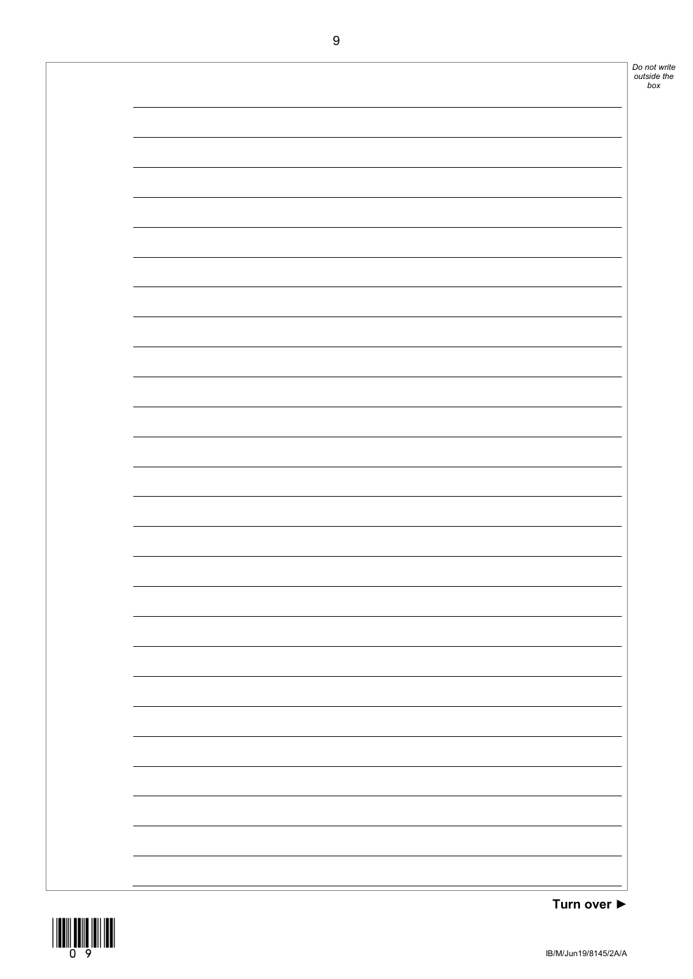

 $\begin{array}{c} \begin{array}{c} \begin{array}{c} \text{||} \\ \text{||} \end{array} \\ \hline \end{array} \end{array}$ 

**Turn over ►**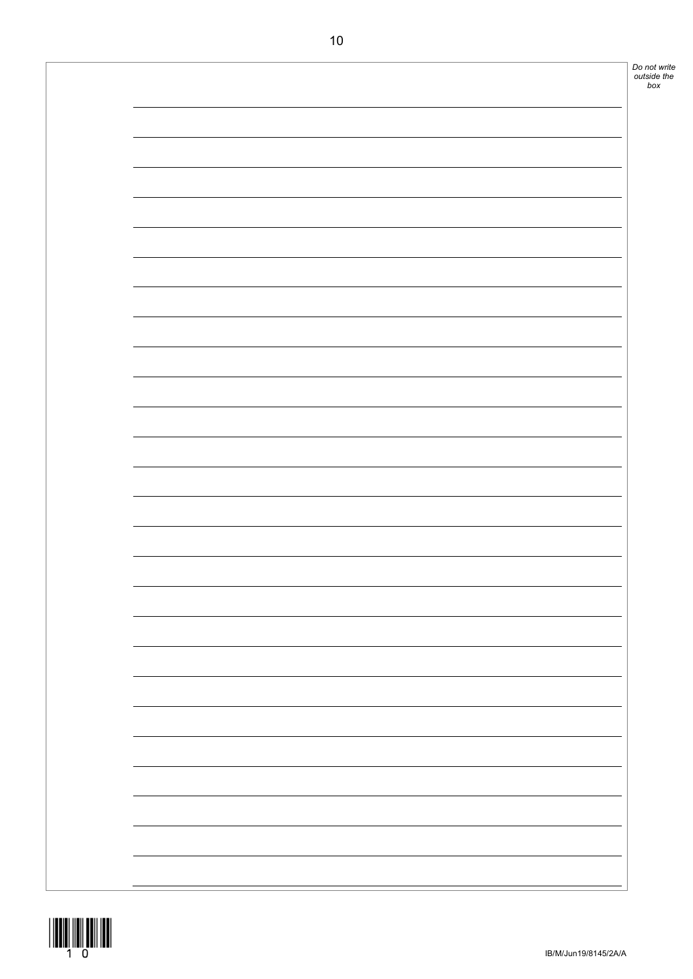

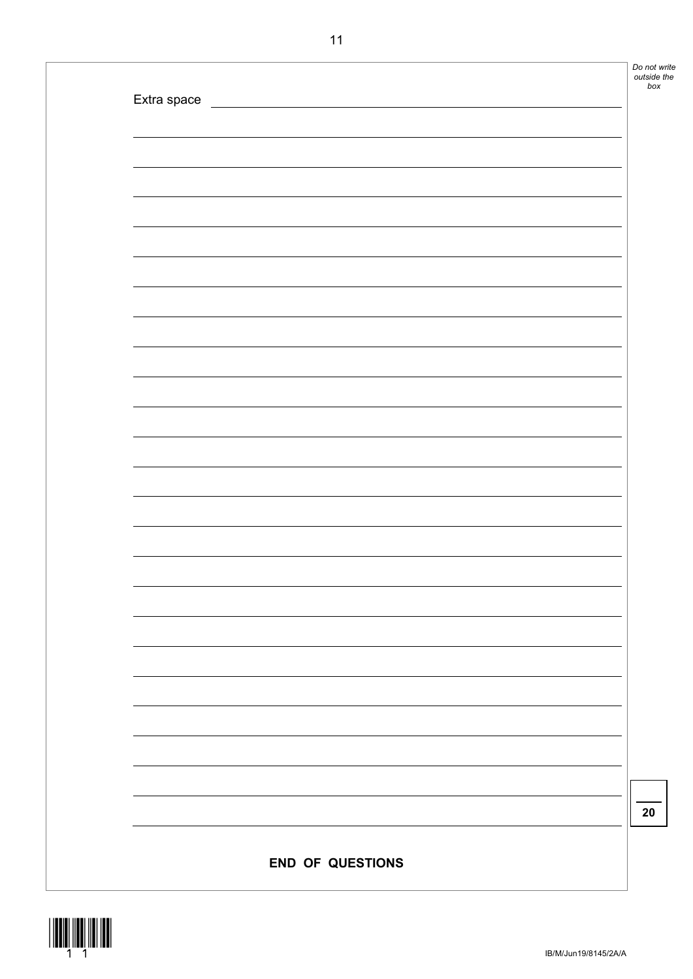| <b>END OF QUESTIONS</b> |                    |
|-------------------------|--------------------|
|                         | 20                 |
|                         |                    |
|                         |                    |
|                         |                    |
|                         |                    |
|                         |                    |
|                         |                    |
|                         |                    |
|                         |                    |
|                         |                    |
|                         |                    |
|                         |                    |
|                         |                    |
|                         |                    |
|                         |                    |
|                         |                    |
|                         |                    |
|                         |                    |
| Extra space             | outside the<br>box |



*Do not write*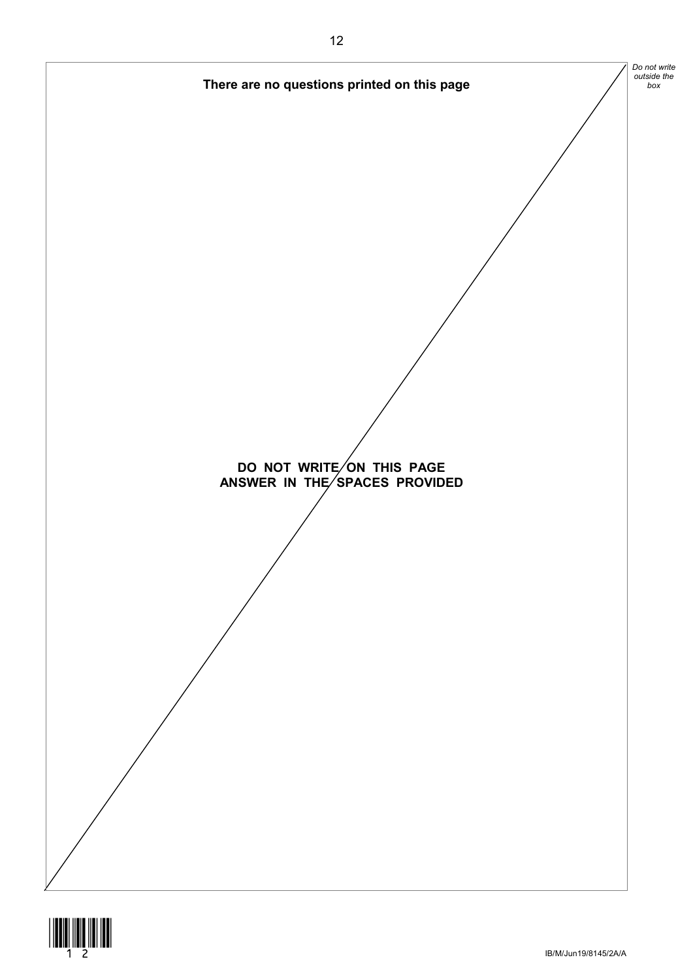

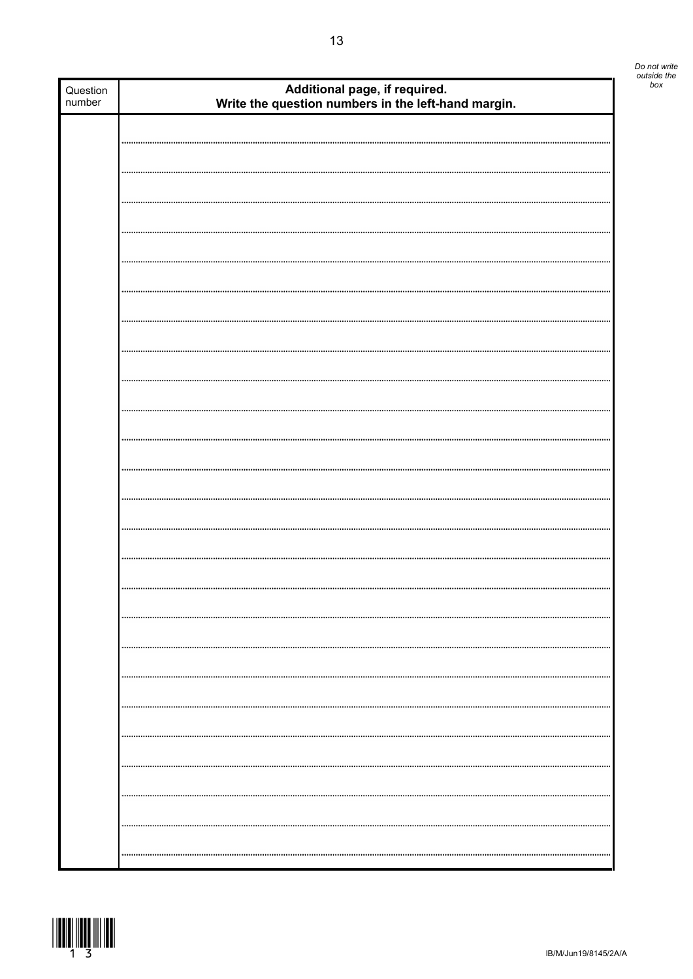| Question<br>number | Additional page, if required.<br>Write the question numbers in the left-hand margin. | box |
|--------------------|--------------------------------------------------------------------------------------|-----|
|                    |                                                                                      |     |
|                    |                                                                                      |     |
|                    |                                                                                      |     |
|                    |                                                                                      |     |
|                    |                                                                                      |     |
|                    |                                                                                      |     |
|                    |                                                                                      |     |
|                    |                                                                                      |     |
|                    |                                                                                      |     |
|                    |                                                                                      |     |
|                    |                                                                                      |     |
|                    |                                                                                      |     |
|                    |                                                                                      |     |
|                    |                                                                                      |     |
|                    |                                                                                      |     |
|                    |                                                                                      |     |
|                    |                                                                                      |     |
|                    |                                                                                      |     |
|                    |                                                                                      |     |
|                    |                                                                                      |     |
|                    |                                                                                      |     |
|                    |                                                                                      |     |
|                    |                                                                                      |     |
|                    |                                                                                      |     |
|                    |                                                                                      |     |
|                    |                                                                                      |     |
|                    |                                                                                      |     |
|                    |                                                                                      |     |
|                    |                                                                                      |     |
|                    |                                                                                      |     |
|                    |                                                                                      |     |
|                    |                                                                                      |     |
|                    |                                                                                      |     |
|                    |                                                                                      |     |
|                    |                                                                                      |     |
|                    |                                                                                      |     |
|                    | <br>                                                                                 |     |

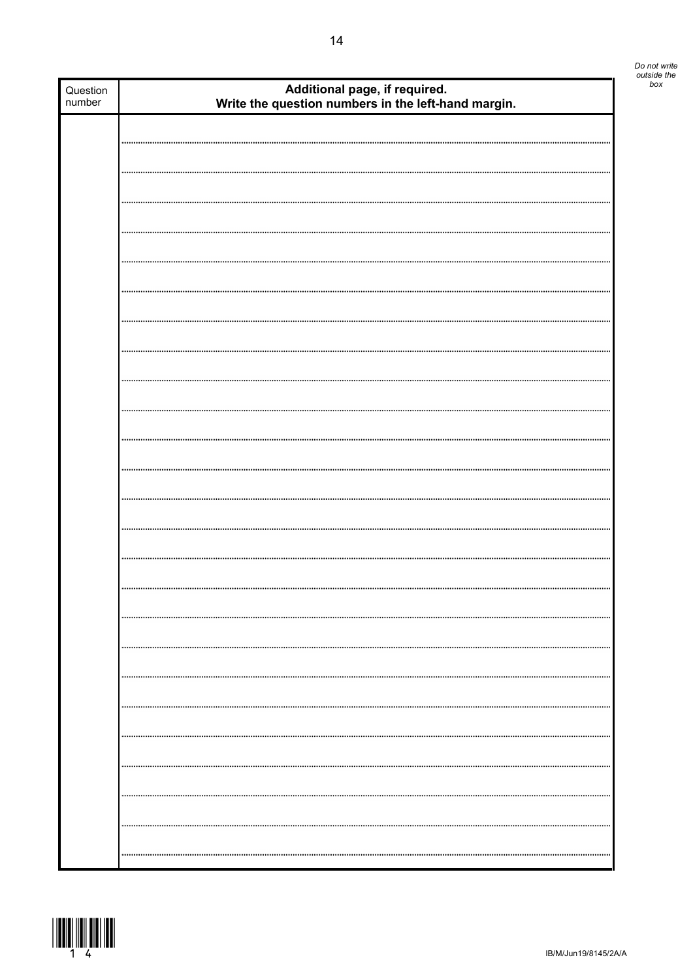| Question<br>number | Additional page, if required.<br>Write the question numbers in the left-hand margin. |  |  |
|--------------------|--------------------------------------------------------------------------------------|--|--|
|                    |                                                                                      |  |  |
|                    |                                                                                      |  |  |
|                    |                                                                                      |  |  |
|                    |                                                                                      |  |  |
|                    |                                                                                      |  |  |
|                    |                                                                                      |  |  |
|                    |                                                                                      |  |  |
|                    |                                                                                      |  |  |
|                    |                                                                                      |  |  |
|                    |                                                                                      |  |  |
|                    |                                                                                      |  |  |
|                    |                                                                                      |  |  |
|                    |                                                                                      |  |  |
|                    |                                                                                      |  |  |
|                    |                                                                                      |  |  |
|                    |                                                                                      |  |  |
|                    |                                                                                      |  |  |
|                    |                                                                                      |  |  |
|                    |                                                                                      |  |  |
|                    |                                                                                      |  |  |
|                    |                                                                                      |  |  |
|                    |                                                                                      |  |  |
|                    |                                                                                      |  |  |
|                    |                                                                                      |  |  |
|                    |                                                                                      |  |  |
|                    |                                                                                      |  |  |
|                    |                                                                                      |  |  |
|                    |                                                                                      |  |  |
|                    |                                                                                      |  |  |
|                    |                                                                                      |  |  |
|                    |                                                                                      |  |  |
|                    |                                                                                      |  |  |
|                    |                                                                                      |  |  |
|                    |                                                                                      |  |  |
|                    |                                                                                      |  |  |
|                    |                                                                                      |  |  |
|                    |                                                                                      |  |  |
|                    |                                                                                      |  |  |
|                    |                                                                                      |  |  |
|                    |                                                                                      |  |  |



*Do not write outside the*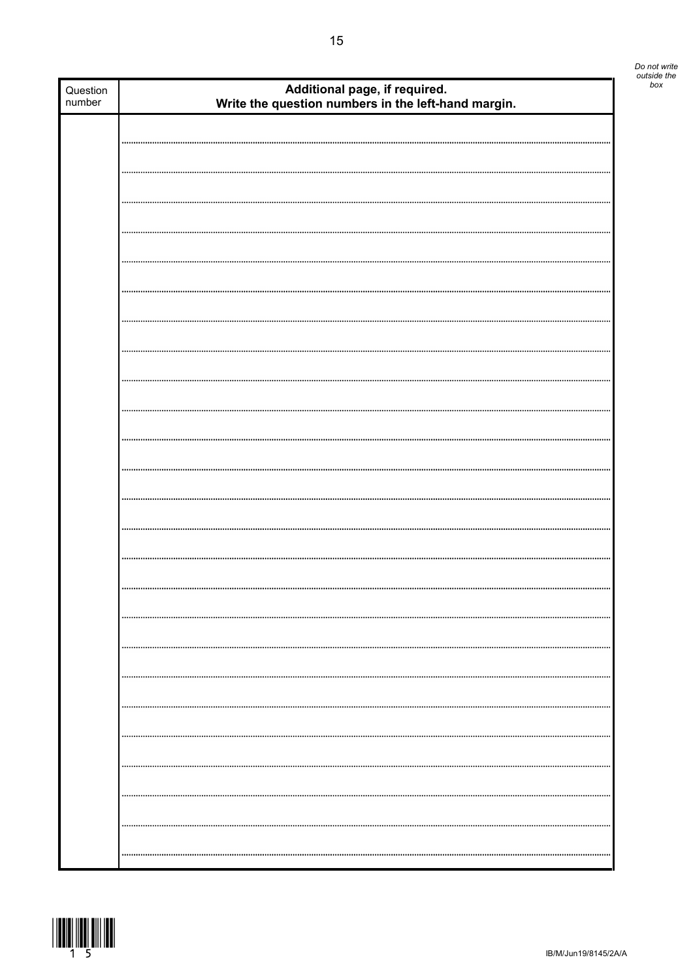| Question<br>number | Additional page, if required.<br>Write the question numbers in the left-hand margin. | box |
|--------------------|--------------------------------------------------------------------------------------|-----|
|                    |                                                                                      |     |
|                    |                                                                                      |     |
|                    |                                                                                      |     |
|                    |                                                                                      |     |
|                    |                                                                                      |     |
|                    |                                                                                      |     |
|                    |                                                                                      |     |
|                    |                                                                                      |     |
|                    |                                                                                      |     |
|                    |                                                                                      |     |
|                    |                                                                                      |     |
|                    |                                                                                      |     |
|                    |                                                                                      |     |
|                    |                                                                                      |     |
|                    |                                                                                      |     |
|                    |                                                                                      |     |
|                    |                                                                                      |     |
|                    |                                                                                      |     |
|                    |                                                                                      |     |
|                    |                                                                                      |     |
|                    |                                                                                      |     |
|                    |                                                                                      |     |
|                    |                                                                                      |     |
|                    |                                                                                      |     |
|                    |                                                                                      |     |
|                    |                                                                                      |     |
|                    |                                                                                      |     |
|                    |                                                                                      |     |
|                    |                                                                                      |     |
|                    |                                                                                      |     |
|                    |                                                                                      |     |
|                    |                                                                                      |     |
|                    |                                                                                      |     |
|                    |                                                                                      |     |
|                    | <br>                                                                                 |     |
|                    |                                                                                      |     |



*Do not write outside the*